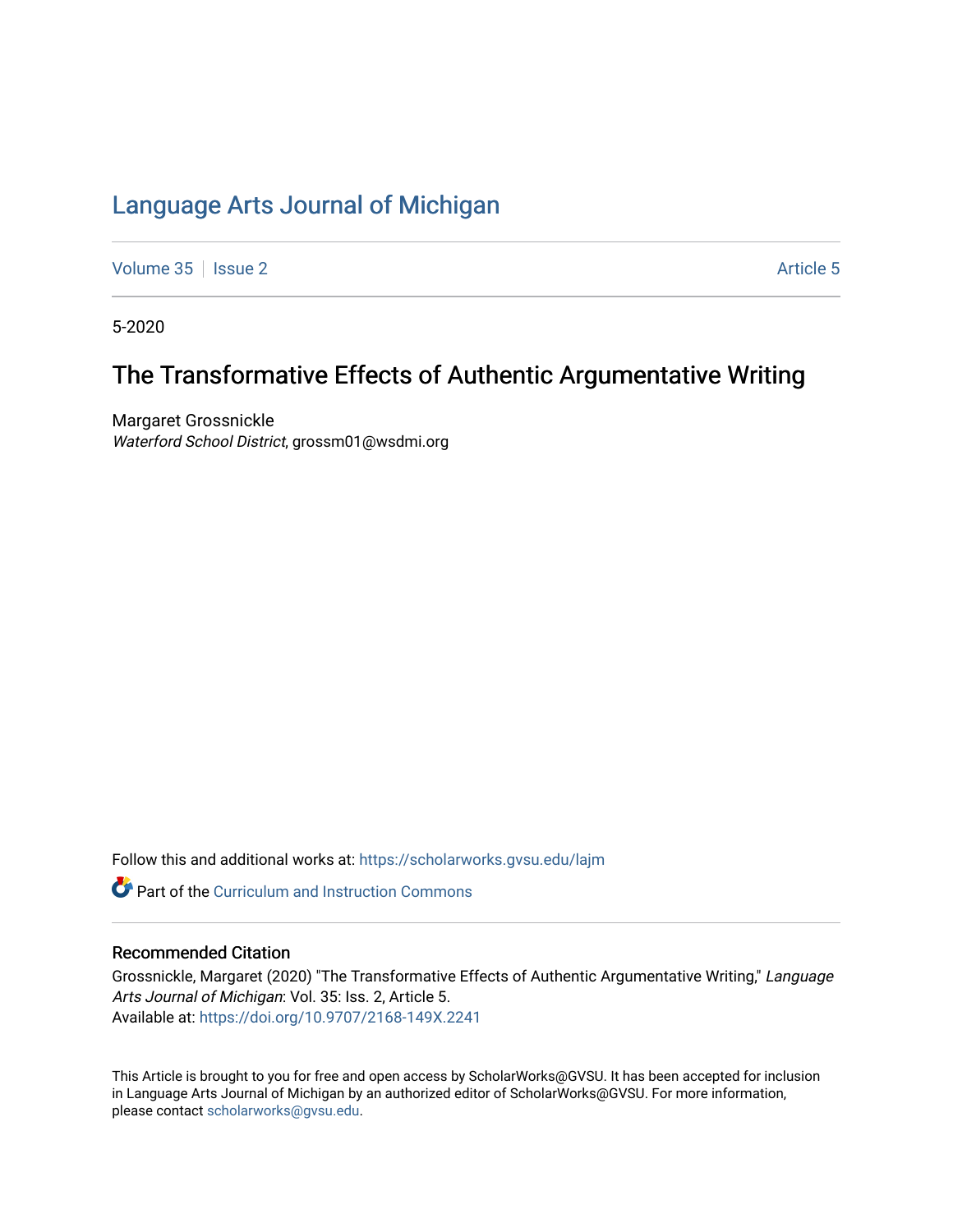# [Language Arts Journal of Michigan](https://scholarworks.gvsu.edu/lajm)

[Volume 35](https://scholarworks.gvsu.edu/lajm/vol35) | [Issue 2](https://scholarworks.gvsu.edu/lajm/vol35/iss2) Article 5

5-2020

# The Transformative Effects of Authentic Argumentative Writing

Margaret Grossnickle Waterford School District, grossm01@wsdmi.org

Follow this and additional works at: [https://scholarworks.gvsu.edu/lajm](https://scholarworks.gvsu.edu/lajm?utm_source=scholarworks.gvsu.edu%2Flajm%2Fvol35%2Fiss2%2F5&utm_medium=PDF&utm_campaign=PDFCoverPages) 

**Part of the Curriculum and Instruction Commons** 

# Recommended Citation

Grossnickle, Margaret (2020) "The Transformative Effects of Authentic Argumentative Writing," Language Arts Journal of Michigan: Vol. 35: Iss. 2, Article 5. Available at:<https://doi.org/10.9707/2168-149X.2241>

This Article is brought to you for free and open access by ScholarWorks@GVSU. It has been accepted for inclusion in Language Arts Journal of Michigan by an authorized editor of ScholarWorks@GVSU. For more information, please contact [scholarworks@gvsu.edu](mailto:scholarworks@gvsu.edu).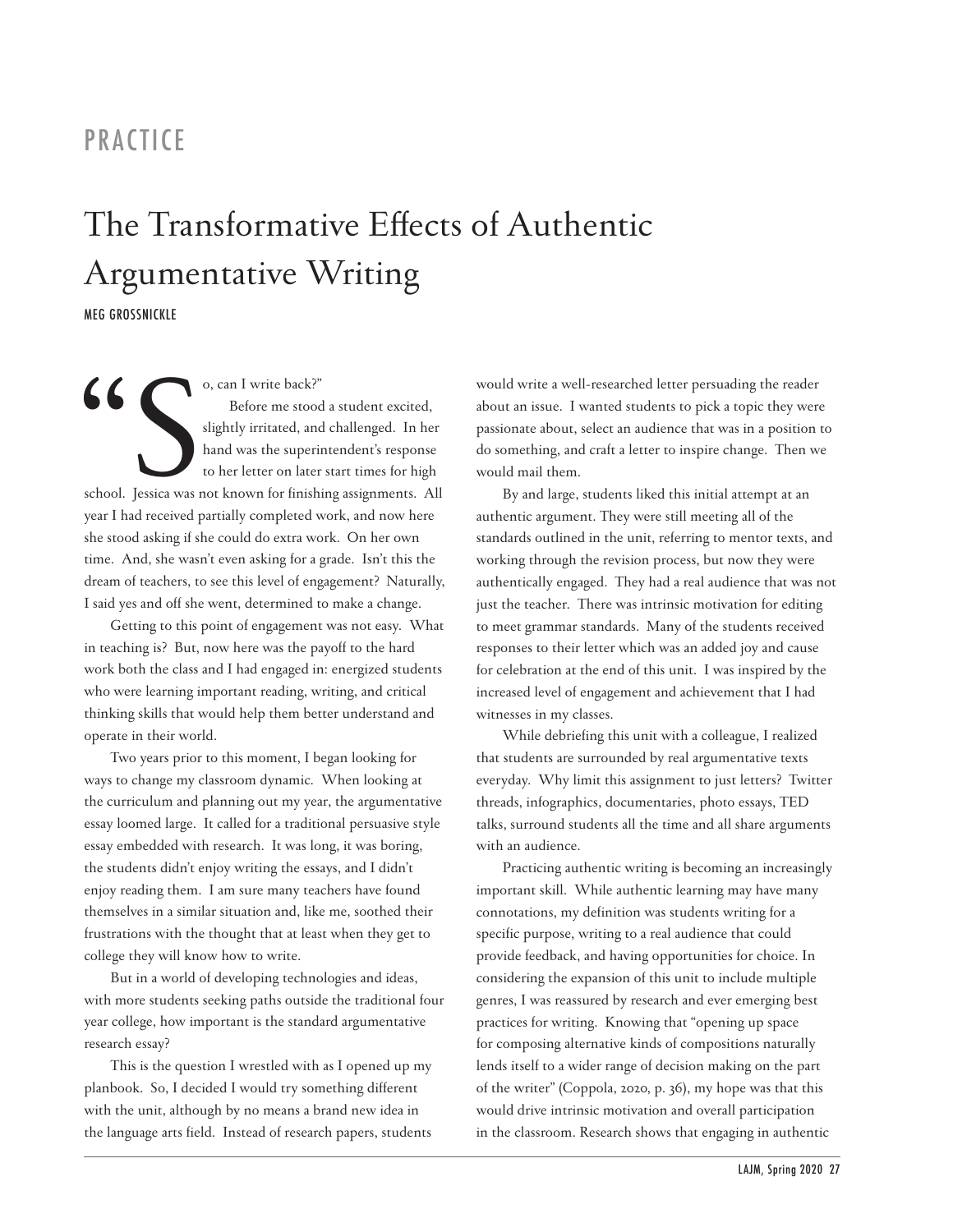# PRACTICE

# The Transformative Effects of Authentic Argumentative Writing

MEG GROSSNICKLE

6 0, can I write back?"<br>Before me stood<br>slightly irritated, and<br>hand was the superir<br>to her letter on later<br>school. Jessica was not known for finishi<br>vear I had received partially completed w Before me stood a student excited, slightly irritated, and challenged. In her hand was the superintendent's response to her letter on later start times for high school. Jessica was not known for finishing assignments. All year I had received partially completed work, and now here she stood asking if she could do extra work. On her own time. And, she wasn't even asking for a grade. Isn't this the dream of teachers, to see this level of engagement? Naturally, I said yes and off she went, determined to make a change.

Getting to this point of engagement was not easy. What in teaching is? But, now here was the payoff to the hard work both the class and I had engaged in: energized students who were learning important reading, writing, and critical thinking skills that would help them better understand and operate in their world.

Two years prior to this moment, I began looking for ways to change my classroom dynamic. When looking at the curriculum and planning out my year, the argumentative essay loomed large. It called for a traditional persuasive style essay embedded with research. It was long, it was boring, the students didn't enjoy writing the essays, and I didn't enjoy reading them. I am sure many teachers have found themselves in a similar situation and, like me, soothed their frustrations with the thought that at least when they get to college they will know how to write.

But in a world of developing technologies and ideas, with more students seeking paths outside the traditional four year college, how important is the standard argumentative research essay?

This is the question I wrestled with as I opened up my planbook. So, I decided I would try something different with the unit, although by no means a brand new idea in the language arts field. Instead of research papers, students would write a well-researched letter persuading the reader about an issue. I wanted students to pick a topic they were passionate about, select an audience that was in a position to do something, and craft a letter to inspire change. Then we would mail them.

By and large, students liked this initial attempt at an authentic argument. They were still meeting all of the standards outlined in the unit, referring to mentor texts, and working through the revision process, but now they were authentically engaged. They had a real audience that was not just the teacher. There was intrinsic motivation for editing to meet grammar standards. Many of the students received responses to their letter which was an added joy and cause for celebration at the end of this unit. I was inspired by the increased level of engagement and achievement that I had witnesses in my classes.

While debriefing this unit with a colleague, I realized that students are surrounded by real argumentative texts everyday. Why limit this assignment to just letters? Twitter threads, infographics, documentaries, photo essays, TED talks, surround students all the time and all share arguments with an audience.

Practicing authentic writing is becoming an increasingly important skill. While authentic learning may have many connotations, my definition was students writing for a specific purpose, writing to a real audience that could provide feedback, and having opportunities for choice. In considering the expansion of this unit to include multiple genres, I was reassured by research and ever emerging best practices for writing. Knowing that "opening up space for composing alternative kinds of compositions naturally lends itself to a wider range of decision making on the part of the writer" (Coppola, 2020, p. 36), my hope was that this would drive intrinsic motivation and overall participation in the classroom. Research shows that engaging in authentic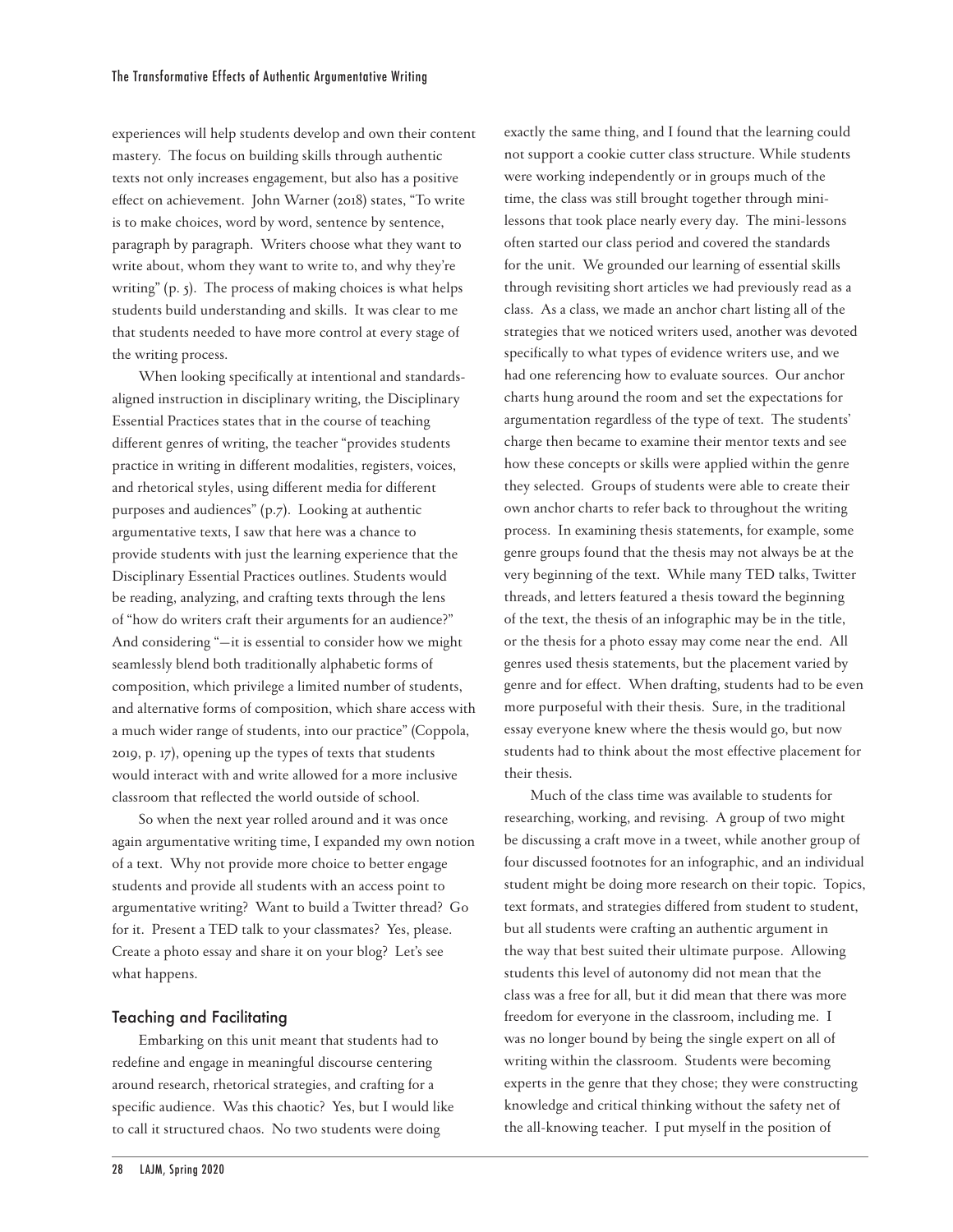experiences will help students develop and own their content mastery. The focus on building skills through authentic texts not only increases engagement, but also has a positive effect on achievement. John Warner (2018) states, "To write is to make choices, word by word, sentence by sentence, paragraph by paragraph. Writers choose what they want to write about, whom they want to write to, and why they're writing" (p. 5). The process of making choices is what helps students build understanding and skills. It was clear to me that students needed to have more control at every stage of the writing process.

When looking specifically at intentional and standardsaligned instruction in disciplinary writing, the Disciplinary Essential Practices states that in the course of teaching different genres of writing, the teacher "provides students practice in writing in different modalities, registers, voices, and rhetorical styles, using different media for different purposes and audiences" (p.7). Looking at authentic argumentative texts, I saw that here was a chance to provide students with just the learning experience that the Disciplinary Essential Practices outlines. Students would be reading, analyzing, and crafting texts through the lens of "how do writers craft their arguments for an audience?" And considering "—it is essential to consider how we might seamlessly blend both traditionally alphabetic forms of composition, which privilege a limited number of students, and alternative forms of composition, which share access with a much wider range of students, into our practice" (Coppola, 2019, p. 17), opening up the types of texts that students would interact with and write allowed for a more inclusive classroom that reflected the world outside of school.

So when the next year rolled around and it was once again argumentative writing time, I expanded my own notion of a text. Why not provide more choice to better engage students and provide all students with an access point to argumentative writing? Want to build a Twitter thread? Go for it. Present a TED talk to your classmates? Yes, please. Create a photo essay and share it on your blog? Let's see what happens.

### Teaching and Facilitating

Embarking on this unit meant that students had to redefine and engage in meaningful discourse centering around research, rhetorical strategies, and crafting for a specific audience. Was this chaotic? Yes, but I would like to call it structured chaos. No two students were doing

exactly the same thing, and I found that the learning could not support a cookie cutter class structure. While students were working independently or in groups much of the time, the class was still brought together through minilessons that took place nearly every day. The mini-lessons often started our class period and covered the standards for the unit. We grounded our learning of essential skills through revisiting short articles we had previously read as a class. As a class, we made an anchor chart listing all of the strategies that we noticed writers used, another was devoted specifically to what types of evidence writers use, and we had one referencing how to evaluate sources. Our anchor charts hung around the room and set the expectations for argumentation regardless of the type of text. The students' charge then became to examine their mentor texts and see how these concepts or skills were applied within the genre they selected. Groups of students were able to create their own anchor charts to refer back to throughout the writing process. In examining thesis statements, for example, some genre groups found that the thesis may not always be at the very beginning of the text. While many TED talks, Twitter threads, and letters featured a thesis toward the beginning of the text, the thesis of an infographic may be in the title, or the thesis for a photo essay may come near the end. All genres used thesis statements, but the placement varied by genre and for effect. When drafting, students had to be even more purposeful with their thesis. Sure, in the traditional essay everyone knew where the thesis would go, but now students had to think about the most effective placement for their thesis.

Much of the class time was available to students for researching, working, and revising. A group of two might be discussing a craft move in a tweet, while another group of four discussed footnotes for an infographic, and an individual student might be doing more research on their topic. Topics, text formats, and strategies differed from student to student, but all students were crafting an authentic argument in the way that best suited their ultimate purpose. Allowing students this level of autonomy did not mean that the class was a free for all, but it did mean that there was more freedom for everyone in the classroom, including me. I was no longer bound by being the single expert on all of writing within the classroom. Students were becoming experts in the genre that they chose; they were constructing knowledge and critical thinking without the safety net of the all-knowing teacher. I put myself in the position of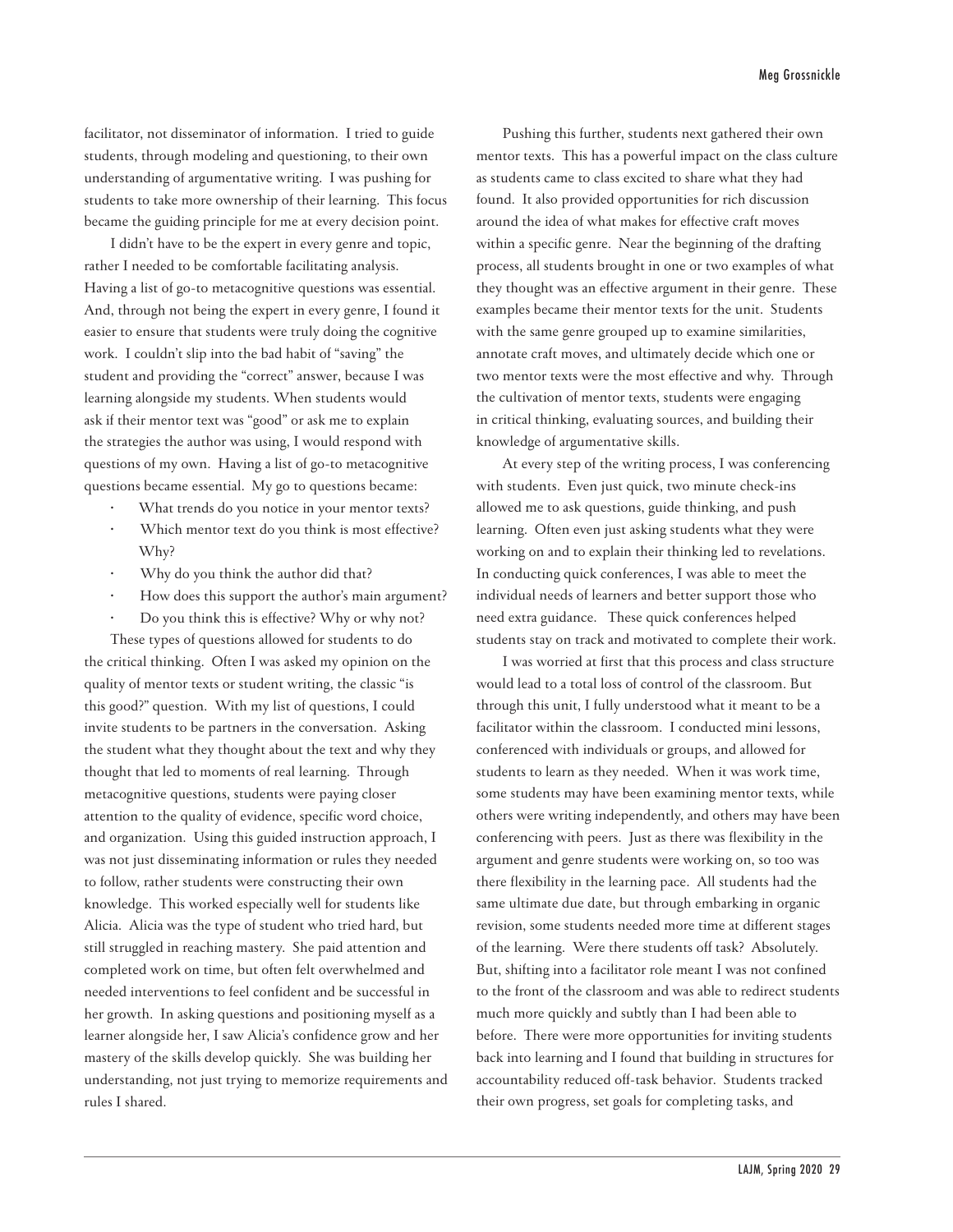facilitator, not disseminator of information. I tried to guide students, through modeling and questioning, to their own understanding of argumentative writing. I was pushing for students to take more ownership of their learning. This focus became the guiding principle for me at every decision point.

I didn't have to be the expert in every genre and topic, rather I needed to be comfortable facilitating analysis. Having a list of go-to metacognitive questions was essential. And, through not being the expert in every genre, I found it easier to ensure that students were truly doing the cognitive work. I couldn't slip into the bad habit of "saving" the student and providing the "correct" answer, because I was learning alongside my students. When students would ask if their mentor text was "good" or ask me to explain the strategies the author was using, I would respond with questions of my own. Having a list of go-to metacognitive questions became essential. My go to questions became:

- What trends do you notice in your mentor texts?
- Which mentor text do you think is most effective? Why?
- Why do you think the author did that?
- How does this support the author's main argument?
- Do you think this is effective? Why or why not?

These types of questions allowed for students to do the critical thinking. Often I was asked my opinion on the quality of mentor texts or student writing, the classic "is this good?" question. With my list of questions, I could invite students to be partners in the conversation. Asking the student what they thought about the text and why they thought that led to moments of real learning. Through metacognitive questions, students were paying closer attention to the quality of evidence, specific word choice, and organization. Using this guided instruction approach, I was not just disseminating information or rules they needed to follow, rather students were constructing their own knowledge. This worked especially well for students like Alicia. Alicia was the type of student who tried hard, but still struggled in reaching mastery. She paid attention and completed work on time, but often felt overwhelmed and needed interventions to feel confident and be successful in her growth. In asking questions and positioning myself as a learner alongside her, I saw Alicia's confidence grow and her mastery of the skills develop quickly. She was building her understanding, not just trying to memorize requirements and rules I shared.

Pushing this further, students next gathered their own mentor texts. This has a powerful impact on the class culture as students came to class excited to share what they had found. It also provided opportunities for rich discussion around the idea of what makes for effective craft moves within a specific genre. Near the beginning of the drafting process, all students brought in one or two examples of what they thought was an effective argument in their genre. These examples became their mentor texts for the unit. Students with the same genre grouped up to examine similarities, annotate craft moves, and ultimately decide which one or two mentor texts were the most effective and why. Through the cultivation of mentor texts, students were engaging in critical thinking, evaluating sources, and building their knowledge of argumentative skills.

At every step of the writing process, I was conferencing with students. Even just quick, two minute check-ins allowed me to ask questions, guide thinking, and push learning. Often even just asking students what they were working on and to explain their thinking led to revelations. In conducting quick conferences, I was able to meet the individual needs of learners and better support those who need extra guidance. These quick conferences helped students stay on track and motivated to complete their work.

I was worried at first that this process and class structure would lead to a total loss of control of the classroom. But through this unit, I fully understood what it meant to be a facilitator within the classroom. I conducted mini lessons, conferenced with individuals or groups, and allowed for students to learn as they needed. When it was work time, some students may have been examining mentor texts, while others were writing independently, and others may have been conferencing with peers. Just as there was flexibility in the argument and genre students were working on, so too was there flexibility in the learning pace. All students had the same ultimate due date, but through embarking in organic revision, some students needed more time at different stages of the learning. Were there students off task? Absolutely. But, shifting into a facilitator role meant I was not confined to the front of the classroom and was able to redirect students much more quickly and subtly than I had been able to before. There were more opportunities for inviting students back into learning and I found that building in structures for accountability reduced off-task behavior. Students tracked their own progress, set goals for completing tasks, and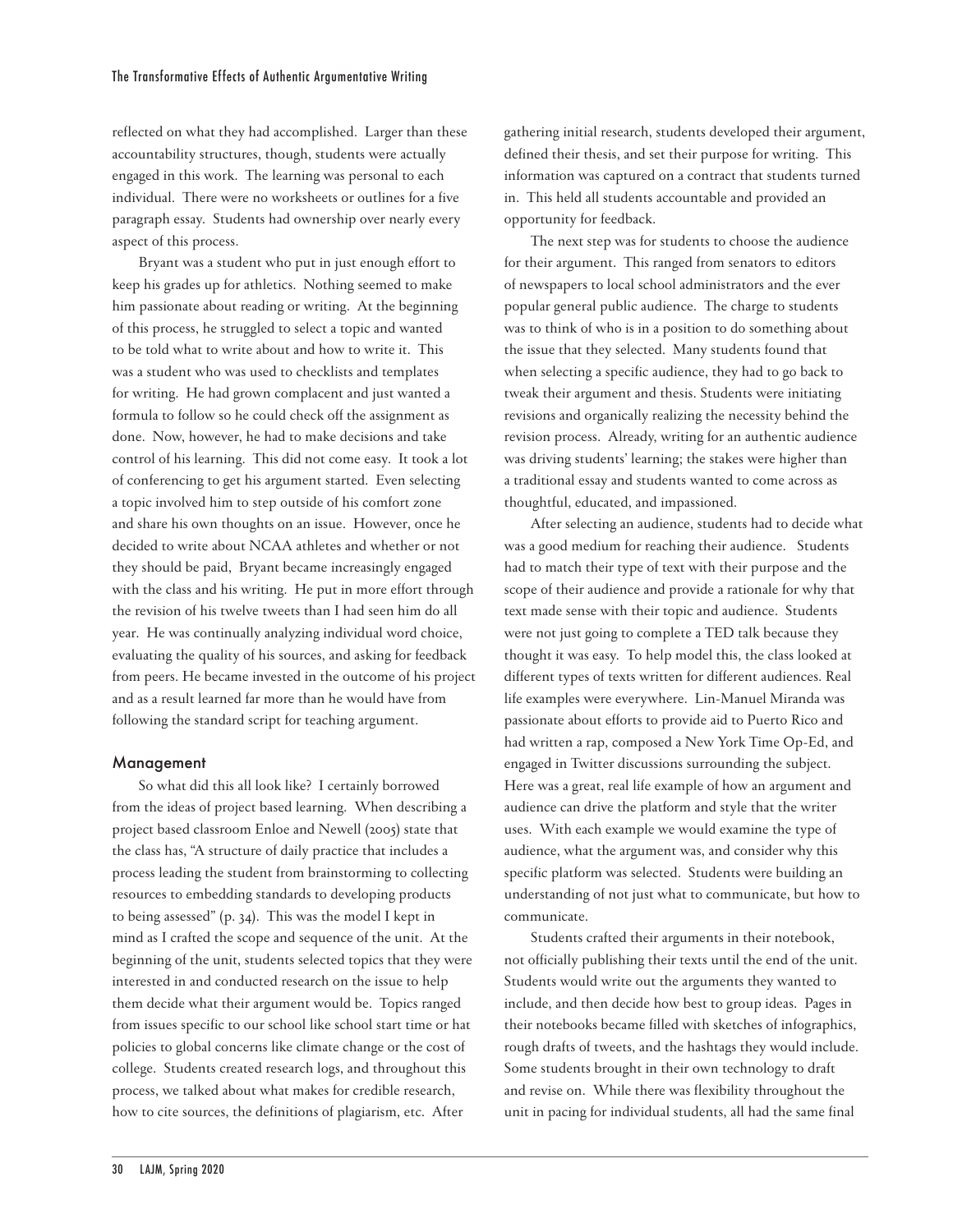reflected on what they had accomplished. Larger than these accountability structures, though, students were actually engaged in this work. The learning was personal to each individual. There were no worksheets or outlines for a five paragraph essay. Students had ownership over nearly every aspect of this process.

Bryant was a student who put in just enough effort to keep his grades up for athletics. Nothing seemed to make him passionate about reading or writing. At the beginning of this process, he struggled to select a topic and wanted to be told what to write about and how to write it. This was a student who was used to checklists and templates for writing. He had grown complacent and just wanted a formula to follow so he could check off the assignment as done. Now, however, he had to make decisions and take control of his learning. This did not come easy. It took a lot of conferencing to get his argument started. Even selecting a topic involved him to step outside of his comfort zone and share his own thoughts on an issue. However, once he decided to write about NCAA athletes and whether or not they should be paid, Bryant became increasingly engaged with the class and his writing. He put in more effort through the revision of his twelve tweets than I had seen him do all year. He was continually analyzing individual word choice, evaluating the quality of his sources, and asking for feedback from peers. He became invested in the outcome of his project and as a result learned far more than he would have from following the standard script for teaching argument.

#### Management

So what did this all look like? I certainly borrowed from the ideas of project based learning. When describing a project based classroom Enloe and Newell (2005) state that the class has, "A structure of daily practice that includes a process leading the student from brainstorming to collecting resources to embedding standards to developing products to being assessed" (p. 34). This was the model I kept in mind as I crafted the scope and sequence of the unit. At the beginning of the unit, students selected topics that they were interested in and conducted research on the issue to help them decide what their argument would be. Topics ranged from issues specific to our school like school start time or hat policies to global concerns like climate change or the cost of college. Students created research logs, and throughout this process, we talked about what makes for credible research, how to cite sources, the definitions of plagiarism, etc. After

gathering initial research, students developed their argument, defined their thesis, and set their purpose for writing. This information was captured on a contract that students turned in. This held all students accountable and provided an opportunity for feedback.

The next step was for students to choose the audience for their argument. This ranged from senators to editors of newspapers to local school administrators and the ever popular general public audience. The charge to students was to think of who is in a position to do something about the issue that they selected. Many students found that when selecting a specific audience, they had to go back to tweak their argument and thesis. Students were initiating revisions and organically realizing the necessity behind the revision process. Already, writing for an authentic audience was driving students' learning; the stakes were higher than a traditional essay and students wanted to come across as thoughtful, educated, and impassioned.

After selecting an audience, students had to decide what was a good medium for reaching their audience. Students had to match their type of text with their purpose and the scope of their audience and provide a rationale for why that text made sense with their topic and audience. Students were not just going to complete a TED talk because they thought it was easy. To help model this, the class looked at different types of texts written for different audiences. Real life examples were everywhere. Lin-Manuel Miranda was passionate about efforts to provide aid to Puerto Rico and had written a rap, composed a New York Time Op-Ed, and engaged in Twitter discussions surrounding the subject. Here was a great, real life example of how an argument and audience can drive the platform and style that the writer uses. With each example we would examine the type of audience, what the argument was, and consider why this specific platform was selected. Students were building an understanding of not just what to communicate, but how to communicate.

Students crafted their arguments in their notebook, not officially publishing their texts until the end of the unit. Students would write out the arguments they wanted to include, and then decide how best to group ideas. Pages in their notebooks became filled with sketches of infographics, rough drafts of tweets, and the hashtags they would include. Some students brought in their own technology to draft and revise on. While there was flexibility throughout the unit in pacing for individual students, all had the same final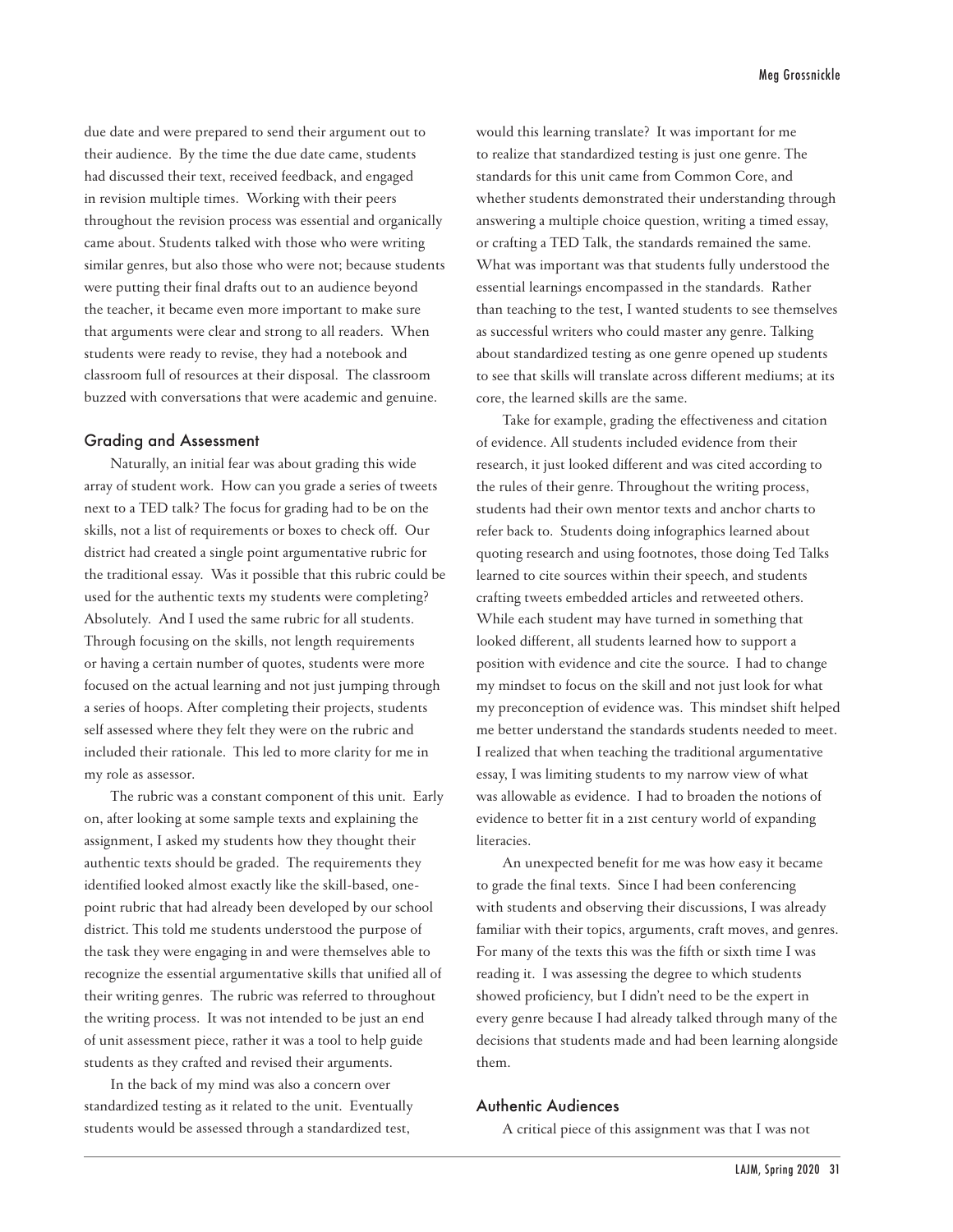due date and were prepared to send their argument out to their audience. By the time the due date came, students had discussed their text, received feedback, and engaged in revision multiple times. Working with their peers throughout the revision process was essential and organically came about. Students talked with those who were writing similar genres, but also those who were not; because students were putting their final drafts out to an audience beyond the teacher, it became even more important to make sure that arguments were clear and strong to all readers. When students were ready to revise, they had a notebook and classroom full of resources at their disposal. The classroom buzzed with conversations that were academic and genuine.

#### Grading and Assessment

Naturally, an initial fear was about grading this wide array of student work. How can you grade a series of tweets next to a TED talk? The focus for grading had to be on the skills, not a list of requirements or boxes to check off. Our district had created a single point argumentative rubric for the traditional essay. Was it possible that this rubric could be used for the authentic texts my students were completing? Absolutely. And I used the same rubric for all students. Through focusing on the skills, not length requirements or having a certain number of quotes, students were more focused on the actual learning and not just jumping through a series of hoops. After completing their projects, students self assessed where they felt they were on the rubric and included their rationale. This led to more clarity for me in my role as assessor.

The rubric was a constant component of this unit. Early on, after looking at some sample texts and explaining the assignment, I asked my students how they thought their authentic texts should be graded. The requirements they identified looked almost exactly like the skill-based, onepoint rubric that had already been developed by our school district. This told me students understood the purpose of the task they were engaging in and were themselves able to recognize the essential argumentative skills that unified all of their writing genres. The rubric was referred to throughout the writing process. It was not intended to be just an end of unit assessment piece, rather it was a tool to help guide students as they crafted and revised their arguments.

In the back of my mind was also a concern over standardized testing as it related to the unit. Eventually students would be assessed through a standardized test,

would this learning translate? It was important for me to realize that standardized testing is just one genre. The standards for this unit came from Common Core, and whether students demonstrated their understanding through answering a multiple choice question, writing a timed essay, or crafting a TED Talk, the standards remained the same. What was important was that students fully understood the essential learnings encompassed in the standards. Rather than teaching to the test, I wanted students to see themselves as successful writers who could master any genre. Talking about standardized testing as one genre opened up students to see that skills will translate across different mediums; at its core, the learned skills are the same.

Take for example, grading the effectiveness and citation of evidence. All students included evidence from their research, it just looked different and was cited according to the rules of their genre. Throughout the writing process, students had their own mentor texts and anchor charts to refer back to. Students doing infographics learned about quoting research and using footnotes, those doing Ted Talks learned to cite sources within their speech, and students crafting tweets embedded articles and retweeted others. While each student may have turned in something that looked different, all students learned how to support a position with evidence and cite the source. I had to change my mindset to focus on the skill and not just look for what my preconception of evidence was. This mindset shift helped me better understand the standards students needed to meet. I realized that when teaching the traditional argumentative essay, I was limiting students to my narrow view of what was allowable as evidence. I had to broaden the notions of evidence to better fit in a 21st century world of expanding literacies.

An unexpected benefit for me was how easy it became to grade the final texts. Since I had been conferencing with students and observing their discussions, I was already familiar with their topics, arguments, craft moves, and genres. For many of the texts this was the fifth or sixth time I was reading it. I was assessing the degree to which students showed proficiency, but I didn't need to be the expert in every genre because I had already talked through many of the decisions that students made and had been learning alongside them.

#### Authentic Audiences

A critical piece of this assignment was that I was not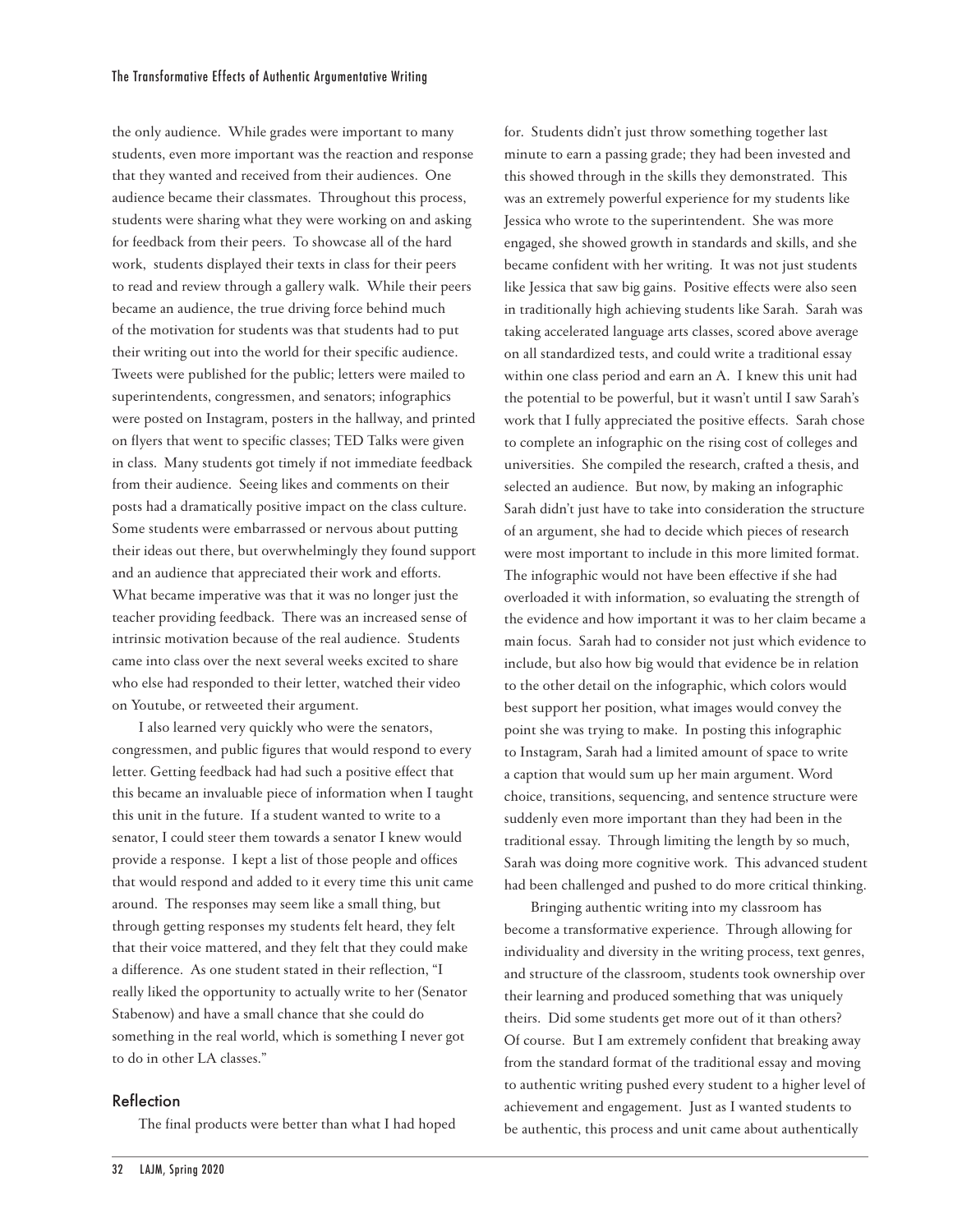the only audience. While grades were important to many students, even more important was the reaction and response that they wanted and received from their audiences. One audience became their classmates. Throughout this process, students were sharing what they were working on and asking for feedback from their peers. To showcase all of the hard work, students displayed their texts in class for their peers to read and review through a gallery walk. While their peers became an audience, the true driving force behind much of the motivation for students was that students had to put their writing out into the world for their specific audience. Tweets were published for the public; letters were mailed to superintendents, congressmen, and senators; infographics were posted on Instagram, posters in the hallway, and printed on flyers that went to specific classes; TED Talks were given in class. Many students got timely if not immediate feedback from their audience. Seeing likes and comments on their posts had a dramatically positive impact on the class culture. Some students were embarrassed or nervous about putting their ideas out there, but overwhelmingly they found support and an audience that appreciated their work and efforts. What became imperative was that it was no longer just the teacher providing feedback. There was an increased sense of intrinsic motivation because of the real audience. Students came into class over the next several weeks excited to share who else had responded to their letter, watched their video on Youtube, or retweeted their argument.

I also learned very quickly who were the senators, congressmen, and public figures that would respond to every letter. Getting feedback had had such a positive effect that this became an invaluable piece of information when I taught this unit in the future. If a student wanted to write to a senator, I could steer them towards a senator I knew would provide a response. I kept a list of those people and offices that would respond and added to it every time this unit came around. The responses may seem like a small thing, but through getting responses my students felt heard, they felt that their voice mattered, and they felt that they could make a difference. As one student stated in their reflection, "I really liked the opportunity to actually write to her (Senator Stabenow) and have a small chance that she could do something in the real world, which is something I never got to do in other LA classes."

## Reflection

The final products were better than what I had hoped

for. Students didn't just throw something together last minute to earn a passing grade; they had been invested and this showed through in the skills they demonstrated. This was an extremely powerful experience for my students like Jessica who wrote to the superintendent. She was more engaged, she showed growth in standards and skills, and she became confident with her writing. It was not just students like Jessica that saw big gains. Positive effects were also seen in traditionally high achieving students like Sarah. Sarah was taking accelerated language arts classes, scored above average on all standardized tests, and could write a traditional essay within one class period and earn an A. I knew this unit had the potential to be powerful, but it wasn't until I saw Sarah's work that I fully appreciated the positive effects. Sarah chose to complete an infographic on the rising cost of colleges and universities. She compiled the research, crafted a thesis, and selected an audience. But now, by making an infographic Sarah didn't just have to take into consideration the structure of an argument, she had to decide which pieces of research were most important to include in this more limited format. The infographic would not have been effective if she had overloaded it with information, so evaluating the strength of the evidence and how important it was to her claim became a main focus. Sarah had to consider not just which evidence to include, but also how big would that evidence be in relation to the other detail on the infographic, which colors would best support her position, what images would convey the point she was trying to make. In posting this infographic to Instagram, Sarah had a limited amount of space to write a caption that would sum up her main argument. Word choice, transitions, sequencing, and sentence structure were suddenly even more important than they had been in the traditional essay. Through limiting the length by so much, Sarah was doing more cognitive work. This advanced student had been challenged and pushed to do more critical thinking.

Bringing authentic writing into my classroom has become a transformative experience. Through allowing for individuality and diversity in the writing process, text genres, and structure of the classroom, students took ownership over their learning and produced something that was uniquely theirs. Did some students get more out of it than others? Of course. But I am extremely confident that breaking away from the standard format of the traditional essay and moving to authentic writing pushed every student to a higher level of achievement and engagement. Just as I wanted students to be authentic, this process and unit came about authentically